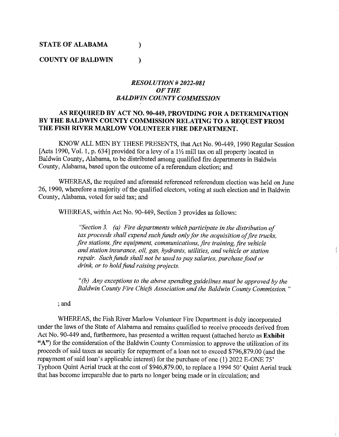#### **STATE OF ALABAMA** )

**COUNTY OF BALDWIN** )

#### *RESOLUTION# 2022-081 OFTHE BALDWIN COUNTY COMMISSION*

#### **AS REQUIRED BY ACT NO. 90-449, PROVIDING FOR A DETERMINATION BY THE BALDWIN COUNTY COMMISSION RELATING TO A REQUEST FROM THE FISH RIVER MARLOW VOLUNTEER FIRE DEPARTMENT.**

KNOW ALL MEN BY THESE PRESENTS, that Act No. 90-449, 1990 Regular Session [Acts 1990, Vol. 1, p. 634] provided for a levy of a  $1\frac{1}{2}$  mill tax on all property located in Baldwin County, Alabama, to be distributed among qualified fire departments in Baldwin County, Alabama, based upon the outcome of a referendum election; and

WHEREAS, the required and aforesaid referenced referendum election was held on June 26, 1990, wherefore a majority of the qualified electors, voting at such election and in Baldwin County, Alabama, voted for said tax; and

WHEREAS, within Act No. 90-449, Section 3 provides as follows:

*"Section 3. (a) Fire departments which participate in the distribution of tax proceeds shall expend such funds only for the acquisition of fire trucks, fire stations, fire equipment, communications, fire training, fire vehicle and station insurance, oil, gas, hydrants, utilities, and vehicle or station repair. Such funds shall not be used to pay salaries, purchase food or drink, or to hold fund raising projects.* 

*"(b) Any exceptions to the above spending guidelines must be approved by the Baldwin County Fire Chiefa Association and the Baldwin County Commission.* "

;and

WHEREAS, the Fish River Marlow Volunteer Fire Department is duly incorporated under the laws of the State of Alabama and remains qualified to receive proceeds derived from Act No. 90-449 and, furthermore, has presented a written request (attached hereto as **Exhibit "A")** for the consideration of the Baldwin County Commission to approve the utilization of its proceeds of said taxes as security for repayment of a loan not to exceed \$796,879.00 (and the repayment of said loan's applicable interest) for the purchase of one (1) 2022 E-ONE 75' Typhoon Quint Aerial truck at the cost of \$946,879.00, to replace a 1994 50' Quint Aerial truck that has become irreparable due to parts no longer being made or in circulation; and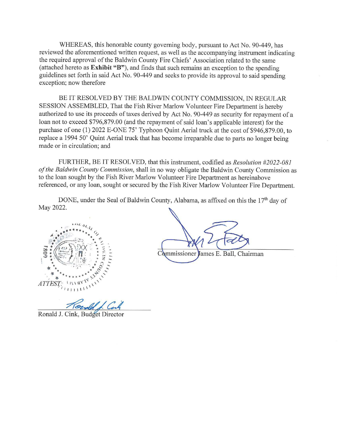WHEREAS, this honorable county governing body, pursuant to Act No. 90-449, has reviewed the aforementioned written request, as well as the accompanying instrument indicating the required approval of the Baldwin County Fire Chiefs' Association related to the same (attached hereto as **Exhibit "B"),** and finds that such remains an exception to the spending guidelines set forth in said Act No. 90-449 and seeks to provide its approval to said spending exception; now therefore

BE IT RESOLVED BY THE BALDWIN COUNTY COMMISSION, IN REGULAR SESSION ASSEMBLED, That the Fish River Marlow Volunteer Fire Department is hereby authorized to use its proceeds of taxes derived by Act No. 90-449 as security for repayment of a loan not to exceed \$796,879.00 (and the repayment of said loan's applicable interest) for the purchase of one (1) 2022 E-ONE 75' Typhoon Quint Aerial truck at the cost of \$946,879.00, to replace a 1994 50' Quint Aerial truck that has become irreparable due to parts no longer being made or in circulation; and

FURTHER, BE IT RESOLVED, that this instrument, codified as *Resolution #2022-081 of the Baldwin County Commission,* shall in no way obligate the Baldwin County Commission as to the loan sought by the Fish River Marlow Volunteer Fire Department as hereinabove referenced, or any loan, sought or secured by the Fish River Marlow Volunteer Fire Department.

DONE, under the Seal of Baldwin County, Alabama, as affixed on this the 17<sup>th</sup> day of May 2022.



Commissioner James E. Ball, Chairman

Hould f. Cont

Ronald J. Cink, Budget Director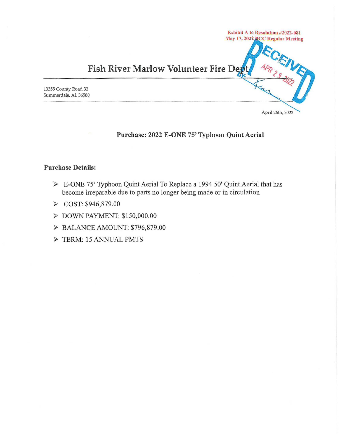

### **Purchase: 2022 E-ONE 75' Typhoon Quint Aerial**

#### **Purchase Details:**

- ► E-ONE 7 5' Typhoon Quint Aerial To Replace a 1994 50' Quint Aerial that has become irreparable due to parts no longer being made or in circulation
- ► COST: \$946,879.00
- ► DOWN PAYMENT: \$ 150,000.00
- ► BALANCE AMOUNT: \$796,879.00
- ► TERM: 15ANNUALPMTS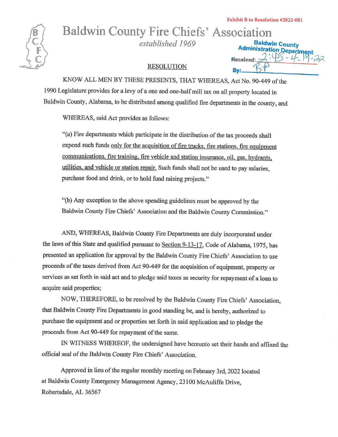

# Baldwin County Fire Chiefs' Association

*established 1969* . **~aldwin County** 

**Administration Department**<br>
RESOLUTION<br> **By:** <del>BD</del><br>
By: BP KNOW ALL MEN BY THESE PRESENTS, THAT WHEREAS, Act No. 90-449 of the 1990 Legislature provides for a levy of a one and one-half mill tax on all property located in Baldwin County, Alabama, to be distributed among qualified fire departments in the county, and

WHEREAS, said Act provides as follows:

"(a) Fire departments which participate in the distribution of the tax proceeds shall expend such funds only for the acquisition of fire trucks, fire stations, fire equipment communications, fire training. fire vehicle and station insurance, oil, gas, hydrants, utilities. and vehicle or station repair. Such funds shall not be used to pay salaries, purchase food and drink, or to hold fund raising projects."

"(b) Any exception to the above spending guidelines must be approved by the Baldwin County Fire Chiefs' Association and the Baldwin County Commission."

AND, WHEREAS, Baldwin County Fire Departments are duly incorporated under the laws of this State and qualified pursuant to Section 9-13-17, Code of Alabama, 1975, has presented an application for approval by the Baldwin County Fire Chiefs' Association to use proceeds of the taxes derived from Act 90-449 for the acquisition of equipment, property or services as set forth in said act and to pledge said taxes as security for repayment of a loan to acquire said properties;

NOW, THEREFORE, to be resolved by the Baldwin County Fire Chiefs' Association, that Baldwin County Fire Departments in good standing be, and is hereby, authorized to purchase the equipment and or properties set forth in said application and to pledge the proceeds from Act 90-449 for repayment of the same.

IN WITNESS WHEREOF, the undersigned have hereunto set their hands and affixed the official seal of the Baldwin County Fire Chiefs' Association.

Approved in lieu of the regular monthly meeting on February 3rd, 2022 located at Baldwin County Emergency Management Agency, 23100 McAuliffe Drive, Robertsdale, AL 36567